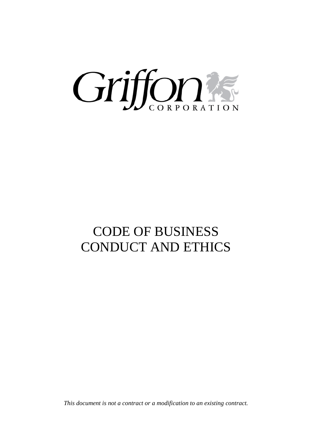

# CODE OF BUSINESS CONDUCT AND ETHICS

*This document is not a contract or a modification to an existing contract.*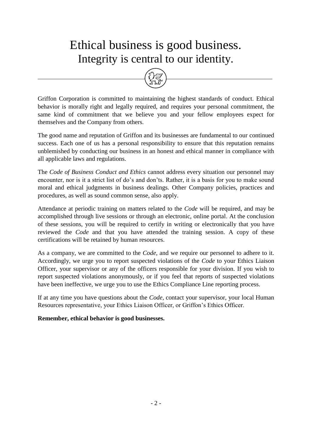## Ethical business is good business. Integrity is central to our identity.



The good name and reputation of Griffon and its businesses are fundamental to our continued success. Each one of us has a personal responsibility to ensure that this reputation remains unblemished by conducting our business in an honest and ethical manner in compliance with all applicable laws and regulations.

The *Code of Business Conduct and Ethics* cannot address every situation our personnel may encounter, nor is it a strict list of do's and don'ts. Rather, it is a basis for you to make sound moral and ethical judgments in business dealings. Other Company policies, practices and procedures, as well as sound common sense, also apply.

Attendance at periodic training on matters related to the *Code* will be required, and may be accomplished through live sessions or through an electronic, online portal. At the conclusion of these sessions, you will be required to certify in writing or electronically that you have reviewed the *Code* and that you have attended the training session. A copy of these certifications will be retained by human resources.

As a company, we are committed to the *Code*, and we require our personnel to adhere to it. Accordingly, we urge you to report suspected violations of the *Code* to your Ethics Liaison Officer, your supervisor or any of the officers responsible for your division. If you wish to report suspected violations anonymously, or if you feel that reports of suspected violations have been ineffective, we urge you to use the Ethics Compliance Line reporting process.

If at any time you have questions about the *Code*, contact your supervisor, your local Human Resources representative, your Ethics Liaison Officer, or Griffon's Ethics Officer.

#### **Remember, ethical behavior is good businesses.**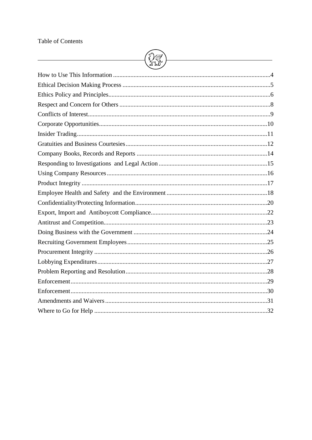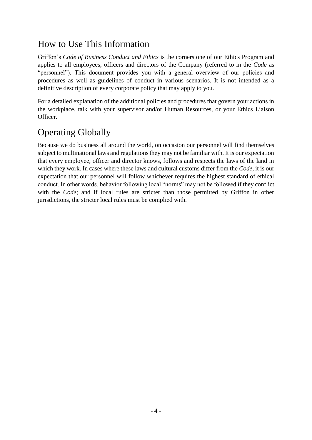#### <span id="page-4-0"></span>How to Use This Information

Griffon's *Code of Business Conduct and Ethics* is the cornerstone of our Ethics Program and applies to all employees, officers and directors of the Company (referred to in the *Code* as "personnel"). This document provides you with a general overview of our policies and procedures as well as guidelines of conduct in various scenarios. It is not intended as a definitive description of every corporate policy that may apply to you.

For a detailed explanation of the additional policies and procedures that govern your actions in the workplace, talk with your supervisor and/or Human Resources, or your Ethics Liaison Officer.

#### Operating Globally

Because we do business all around the world, on occasion our personnel will find themselves subject to multinational laws and regulations they may not be familiar with. It is our expectation that every employee, officer and director knows, follows and respects the laws of the land in which they work. In cases where these laws and cultural customs differ from the *Code*, it is our expectation that our personnel will follow whichever requires the highest standard of ethical conduct. In other words, behavior following local "norms" may not be followed if they conflict with the *Code*; and if local rules are stricter than those permitted by Griffon in other jurisdictions, the stricter local rules must be complied with.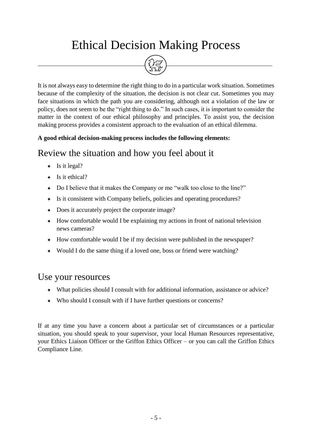# <span id="page-5-0"></span>Ethical Decision Making Process



It is not always easy to determine the right thing to do in a particular work situation. Sometimes because of the complexity of the situation, the decision is not clear cut. Sometimes you may face situations in which the path you are considering, although not a violation of the law or policy, does not seem to be the "right thing to do." In such cases, it is important to consider the matter in the context of our ethical philosophy and principles. To assist you, the decision making process provides a consistent approach to the evaluation of an ethical dilemma.

#### **A good ethical decision-making process includes the following elements:**

#### Review the situation and how you feel about it

- $\leftarrow$  Is it legal?
- $\leftarrow$  Is it ethical?
- Do I believe that it makes the Company or me "walk too close to the line?"
- Is it consistent with Company beliefs, policies and operating procedures?
- Does it accurately project the corporate image?
- $\rightarrow$  How comfortable would I be explaining my actions in front of national television news cameras?
- How comfortable would I be if my decision were published in the newspaper?
- Would I do the same thing if a loved one, boss or friend were watching?

#### Use your resources

- What policies should I consult with for additional information, assistance or advice?
- Who should I consult with if I have further questions or concerns?

If at any time you have a concern about a particular set of circumstances or a particular situation, you should speak to your supervisor, your local Human Resources representative, your Ethics Liaison Officer or the Griffon Ethics Officer – or you can call the Griffon Ethics Compliance Line.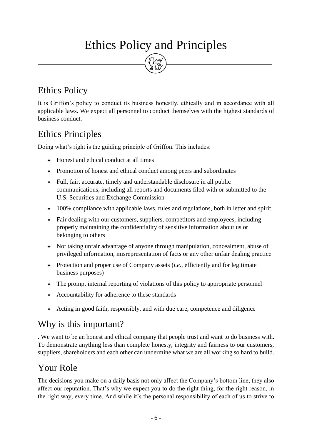# Ethics Policy and Principles

#### <span id="page-6-0"></span>Ethics Policy

It is Griffon's policy to conduct its business honestly, ethically and in accordance with all applicable laws. We expect all personnel to conduct themselves with the highest standards of business conduct.

#### Ethics Principles

Doing what's right is the guiding principle of Griffon. This includes:

- $\leftarrow$  Honest and ethical conduct at all times
- Promotion of honest and ethical conduct among peers and subordinates
- Full, fair, accurate, timely and understandable disclosure in all public communications, including all reports and documents filed with or submitted to the U.S. Securities and Exchange Commission
- $\leftarrow$  100% compliance with applicable laws, rules and regulations, both in letter and spirit
- Fair dealing with our customers, suppliers, competitors and employees, including properly maintaining the confidentiality of sensitive information about us or belonging to others
- Not taking unfair advantage of anyone through manipulation, concealment, abuse of privileged information, misrepresentation of facts or any other unfair dealing practice
- Protection and proper use of Company assets (*i.e.*, efficiently and for legitimate business purposes)
- The prompt internal reporting of violations of this policy to appropriate personnel
- Accountability for adherence to these standards
- Acting in good faith, responsibly, and with due care, competence and diligence

#### Why is this important?

. We want to be an honest and ethical company that people trust and want to do business with. To demonstrate anything less than complete honesty, integrity and fairness to our customers, suppliers, shareholders and each other can undermine what we are all working so hard to build.

#### Your Role

The decisions you make on a daily basis not only affect the Company's bottom line, they also affect our reputation. That's why we expect you to do the right thing, for the right reason, in the right way, every time. And while it's the personal responsibility of each of us to strive to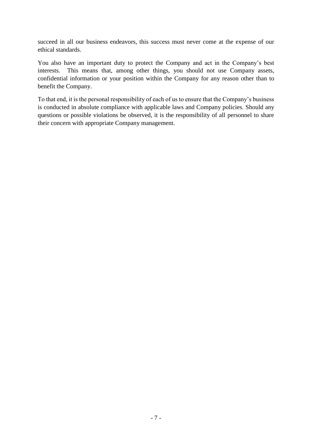succeed in all our business endeavors, this success must never come at the expense of our ethical standards.

You also have an important duty to protect the Company and act in the Company's best interests. This means that, among other things, you should not use Company assets, confidential information or your position within the Company for any reason other than to benefit the Company.

To that end, it is the personal responsibility of each of us to ensure that the Company's business is conducted in absolute compliance with applicable laws and Company policies. Should any questions or possible violations be observed, it is the responsibility of all personnel to share their concern with appropriate Company management.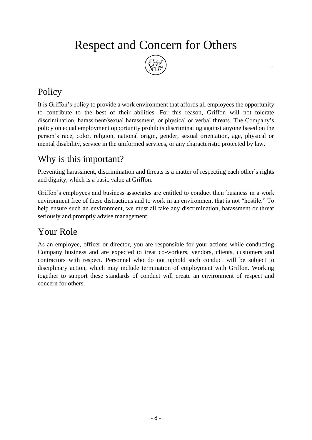## <span id="page-8-0"></span>Respect and Concern for Others



## Policy

It is Griffon's policy to provide a work environment that affords all employees the opportunity to contribute to the best of their abilities. For this reason, Griffon will not tolerate discrimination, harassment/sexual harassment, or physical or verbal threats. The Company's policy on equal employment opportunity prohibits discriminating against anyone based on the person's race, color, religion, national origin, gender, sexual orientation, age, physical or mental disability, service in the uniformed services, or any characteristic protected by law.

#### Why is this important?

Preventing harassment, discrimination and threats is a matter of respecting each other's rights and dignity, which is a basic value at Griffon.

Griffon's employees and business associates are entitled to conduct their business in a work environment free of these distractions and to work in an environment that is not "hostile." To help ensure such an environment, we must all take any discrimination, harassment or threat seriously and promptly advise management.

## Your Role

As an employee, officer or director, you are responsible for your actions while conducting Company business and are expected to treat co-workers, vendors, clients, customers and contractors with respect. Personnel who do not uphold such conduct will be subject to disciplinary action, which may include termination of employment with Griffon. Working together to support these standards of conduct will create an environment of respect and concern for others.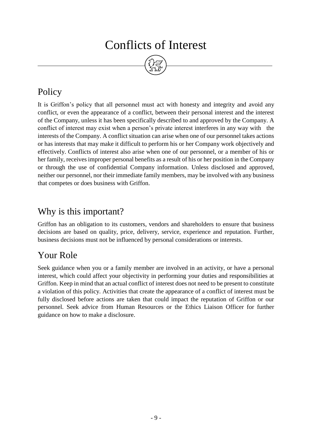## Conflicts of Interest



## <span id="page-9-0"></span>Policy

It is Griffon's policy that all personnel must act with honesty and integrity and avoid any conflict, or even the appearance of a conflict, between their personal interest and the interest of the Company, unless it has been specifically described to and approved by the Company. A conflict of interest may exist when a person's private interest interferes in any way with the interests of the Company. A conflict situation can arise when one of our personnel takes actions or has interests that may make it difficult to perform his or her Company work objectively and effectively. Conflicts of interest also arise when one of our personnel, or a member of his or her family, receives improper personal benefits as a result of his or her position in the Company or through the use of confidential Company information. Unless disclosed and approved, neither our personnel, nor their immediate family members, may be involved with any business that competes or does business with Griffon.

#### Why is this important?

Griffon has an obligation to its customers, vendors and shareholders to ensure that business decisions are based on quality, price, delivery, service, experience and reputation. Further, business decisions must not be influenced by personal considerations or interests.

#### Your Role

Seek guidance when you or a family member are involved in an activity, or have a personal interest, which could affect your objectivity in performing your duties and responsibilities at Griffon. Keep in mind that an actual conflict of interest does not need to be present to constitute a violation of this policy. Activities that create the appearance of a conflict of interest must be fully disclosed before actions are taken that could impact the reputation of Griffon or our personnel. Seek advice from Human Resources or the Ethics Liaison Officer for further guidance on how to make a disclosure.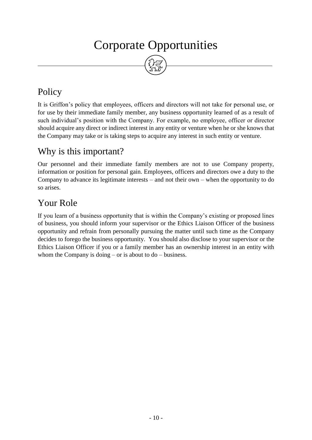# Corporate Opportunities

#### <span id="page-10-0"></span>Policy

It is Griffon's policy that employees, officers and directors will not take for personal use, or for use by their immediate family member, any business opportunity learned of as a result of such individual's position with the Company. For example, no employee, officer or director should acquire any direct or indirect interest in any entity or venture when he or she knows that the Company may take or is taking steps to acquire any interest in such entity or venture.

#### Why is this important?

Our personnel and their immediate family members are not to use Company property, information or position for personal gain. Employees, officers and directors owe a duty to the Company to advance its legitimate interests – and not their own – when the opportunity to do so arises.

#### Your Role

If you learn of a business opportunity that is within the Company's existing or proposed lines of business, you should inform your supervisor or the Ethics Liaison Officer of the business opportunity and refrain from personally pursuing the matter until such time as the Company decides to forego the business opportunity. You should also disclose to your supervisor or the Ethics Liaison Officer if you or a family member has an ownership interest in an entity with whom the Company is doing – or is about to do – business.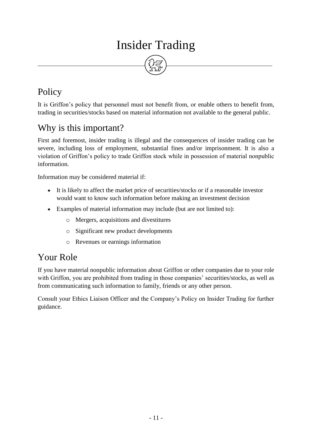## Insider Trading

## <span id="page-11-0"></span>Policy

It is Griffon's policy that personnel must not benefit from, or enable others to benefit from, trading in securities/stocks based on material information not available to the general public.

#### Why is this important?

First and foremost, insider trading is illegal and the consequences of insider trading can be severe, including loss of employment, substantial fines and/or imprisonment. It is also a violation of Griffon's policy to trade Griffon stock while in possession of material nonpublic information.

Information may be considered material if:

- It is likely to affect the market price of securities/stocks or if a reasonable investor would want to know such information before making an investment decision
- Examples of material information may include (but are not limited to):
	- o Mergers, acquisitions and divestitures
	- o Significant new product developments
	- o Revenues or earnings information

#### Your Role

If you have material nonpublic information about Griffon or other companies due to your role with Griffon, you are prohibited from trading in those companies' securities/stocks, as well as from communicating such information to family, friends or any other person.

Consult your Ethics Liaison Officer and the Company's Policy on Insider Trading for further guidance.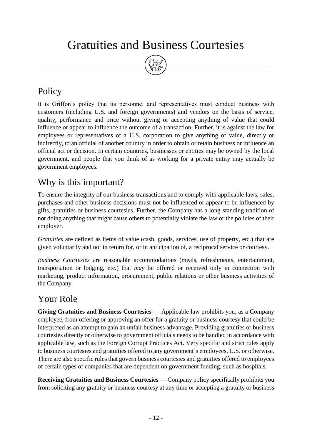## <span id="page-12-0"></span>Gratuities and Business Courtesies



### Policy

It is Griffon's policy that its personnel and representatives must conduct business with customers (including U.S. and foreign governments) and vendors on the basis of service, quality, performance and price without giving or accepting anything of value that could influence or appear to influence the outcome of a transaction. Further, it is against the law for employees or representatives of a U.S. corporation to give anything of value, directly or indirectly, to an official of another country in order to obtain or retain business or influence an official act or decision. In certain countries, businesses or entities may be owned by the local government, and people that you think of as working for a private entity may actually be government employees.

#### Why is this important?

To ensure the integrity of our business transactions and to comply with applicable laws, sales, purchases and other business decisions must not be influenced or appear to be influenced by gifts, gratuities or business courtesies. Further, the Company has a long-standing tradition of not doing anything that might cause others to potentially violate the law or the policies of their employer.

*Gratuities* are defined as items of value (cash, goods, services, use of property, etc.) that are given voluntarily and not in return for, or in anticipation of, a reciprocal service or courtesy.

*Business Courtesies* are reasonable accommodations (meals, refreshments, entertainment, transportation or lodging, etc.) that *may* be offered or received only in connection with marketing, product information, procurement, public relations or other business activities of the Company.

### Your Role

**Giving Gratuities and Business Courtesies** — Applicable law prohibits you, as a Company employee, from offering or approving an offer for a gratuity or business courtesy that could be interpreted as an attempt to gain an unfair business advantage. Providing gratuities or business courtesies directly or otherwise to government officials needs to be handled in accordance with applicable law, such as the Foreign Corrupt Practices Act. Very specific and strict rules apply to business courtesies and gratuities offered to any government's employees, U.S. or otherwise. There are also specific rules that govern business courtesies and gratuities offered to employees of certain types of companies that are dependent on government funding, such as hospitals.

**Receiving Gratuities and Business Courtesies** — Company policy specifically prohibits you from soliciting any gratuity or business courtesy at any time or accepting a gratuity or business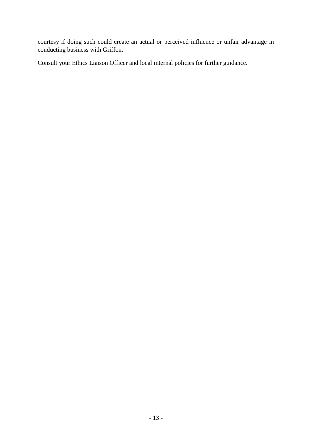courtesy if doing such could create an actual or perceived influence or unfair advantage in conducting business with Griffon.

Consult your Ethics Liaison Officer and local internal policies for further guidance.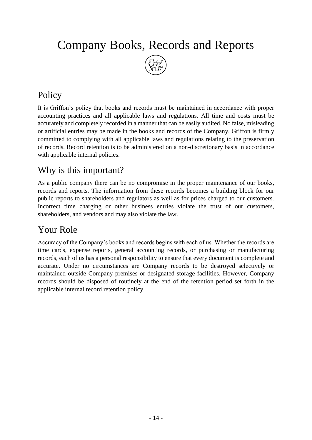## <span id="page-14-0"></span>Company Books, Records and Reports



#### **Policy**

It is Griffon's policy that books and records must be maintained in accordance with proper accounting practices and all applicable laws and regulations. All time and costs must be accurately and completely recorded in a manner that can be easily audited. No false, misleading or artificial entries may be made in the books and records of the Company. Griffon is firmly committed to complying with all applicable laws and regulations relating to the preservation of records. Record retention is to be administered on a non-discretionary basis in accordance with applicable internal policies.

#### Why is this important?

As a public company there can be no compromise in the proper maintenance of our books, records and reports. The information from these records becomes a building block for our public reports to shareholders and regulators as well as for prices charged to our customers. Incorrect time charging or other business entries violate the trust of our customers, shareholders, and vendors and may also violate the law.

#### Your Role

Accuracy of the Company's books and records begins with each of us. Whether the records are time cards, expense reports, general accounting records, or purchasing or manufacturing records, each of us has a personal responsibility to ensure that every document is complete and accurate. Under no circumstances are Company records to be destroyed selectively or maintained outside Company premises or designated storage facilities. However, Company records should be disposed of routinely at the end of the retention period set forth in the applicable internal record retention policy.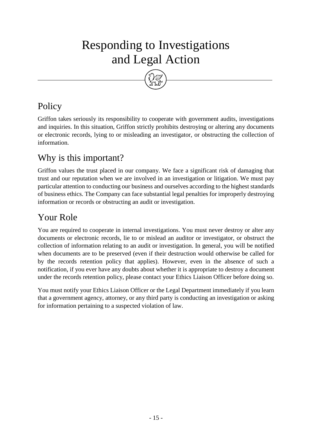# <span id="page-15-0"></span>Responding to Investigations and Legal Action

#### **Policy**

Griffon takes seriously its responsibility to cooperate with government audits, investigations and inquiries. In this situation, Griffon strictly prohibits destroying or altering any documents or electronic records, lying to or misleading an investigator, or obstructing the collection of information.

#### Why is this important?

Griffon values the trust placed in our company. We face a significant risk of damaging that trust and our reputation when we are involved in an investigation or litigation. We must pay particular attention to conducting our business and ourselves according to the highest standards of business ethics. The Company can face substantial legal penalties for improperly destroying information or records or obstructing an audit or investigation.

#### Your Role

You are required to cooperate in internal investigations. You must never destroy or alter any documents or electronic records, lie to or mislead an auditor or investigator, or obstruct the collection of information relating to an audit or investigation. In general, you will be notified when documents are to be preserved (even if their destruction would otherwise be called for by the records retention policy that applies). However, even in the absence of such a notification, if you ever have any doubts about whether it is appropriate to destroy a document under the records retention policy, please contact your Ethics Liaison Officer before doing so.

You must notify your Ethics Liaison Officer or the Legal Department immediately if you learn that a government agency, attorney, or any third party is conducting an investigation or asking for information pertaining to a suspected violation of law.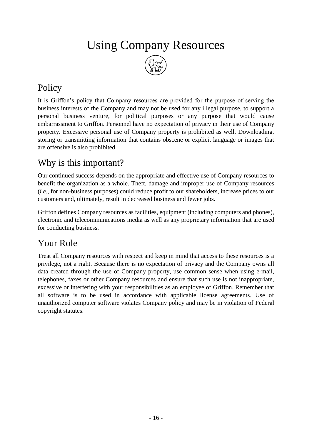## Using Company Resources

### <span id="page-16-0"></span>Policy

It is Griffon's policy that Company resources are provided for the purpose of serving the business interests of the Company and may not be used for any illegal purpose, to support a personal business venture, for political purposes or any purpose that would cause embarrassment to Griffon. Personnel have no expectation of privacy in their use of Company property. Excessive personal use of Company property is prohibited as well. Downloading, storing or transmitting information that contains obscene or explicit language or images that are offensive is also prohibited.

#### Why is this important?

Our continued success depends on the appropriate and effective use of Company resources to benefit the organization as a whole. Theft, damage and improper use of Company resources (*i.e.*, for non-business purposes) could reduce profit to our shareholders, increase prices to our customers and, ultimately, result in decreased business and fewer jobs.

Griffon defines Company resources as facilities, equipment (including computers and phones), electronic and telecommunications media as well as any proprietary information that are used for conducting business.

#### Your Role

Treat all Company resources with respect and keep in mind that access to these resources is a privilege, not a right. Because there is no expectation of privacy and the Company owns all data created through the use of Company property, use common sense when using e-mail, telephones, faxes or other Company resources and ensure that such use is not inappropriate, excessive or interfering with your responsibilities as an employee of Griffon. Remember that all software is to be used in accordance with applicable license agreements. Use of unauthorized computer software violates Company policy and may be in violation of Federal copyright statutes.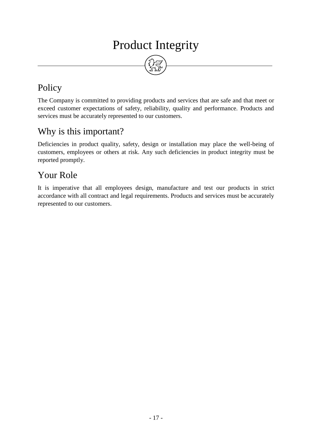## Product Integrity

## <span id="page-17-0"></span>Policy

The Company is committed to providing products and services that are safe and that meet or exceed customer expectations of safety, reliability, quality and performance. Products and services must be accurately represented to our customers.

#### Why is this important?

Deficiencies in product quality, safety, design or installation may place the well-being of customers, employees or others at risk. Any such deficiencies in product integrity must be reported promptly.

#### Your Role

It is imperative that all employees design, manufacture and test our products in strict accordance with all contract and legal requirements. Products and services must be accurately represented to our customers.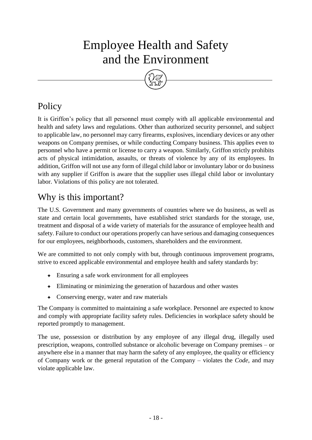# <span id="page-18-0"></span>Employee Health and Safety and the Environment



#### **Policy**

It is Griffon's policy that all personnel must comply with all applicable environmental and health and safety laws and regulations. Other than authorized security personnel, and subject to applicable law, no personnel may carry firearms, explosives, incendiary devices or any other weapons on Company premises, or while conducting Company business. This applies even to personnel who have a permit or license to carry a weapon. Similarly, Griffon strictly prohibits acts of physical intimidation, assaults, or threats of violence by any of its employees. In addition, Griffon will not use any form of illegal child labor or involuntary labor or do business with any supplier if Griffon is aware that the supplier uses illegal child labor or involuntary labor. Violations of this policy are not tolerated.

#### Why is this important?

The U.S. Government and many governments of countries where we do business, as well as state and certain local governments, have established strict standards for the storage, use, treatment and disposal of a wide variety of materials for the assurance of employee health and safety. Failure to conduct our operations properly can have serious and damaging consequences for our employees, neighborhoods, customers, shareholders and the environment.

We are committed to not only comply with but, through continuous improvement programs, strive to exceed applicable environmental and employee health and safety standards by:

- Ensuring a safe work environment for all employees
- Eliminating or minimizing the generation of hazardous and other wastes
- Conserving energy, water and raw materials

The Company is committed to maintaining a safe workplace. Personnel are expected to know and comply with appropriate facility safety rules. Deficiencies in workplace safety should be reported promptly to management.

The use, possession or distribution by any employee of any illegal drug, illegally used prescription, weapons, controlled substance or alcoholic beverage on Company premises – or anywhere else in a manner that may harm the safety of any employee, the quality or efficiency of Company work or the general reputation of the Company – violates the *Code*, and may violate applicable law.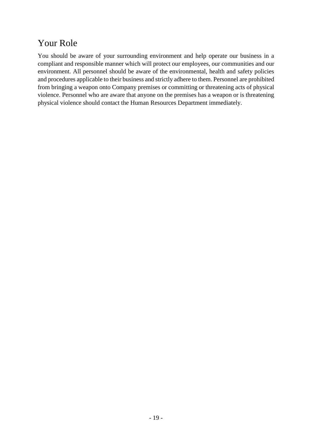#### Your Role

You should be aware of your surrounding environment and help operate our business in a compliant and responsible manner which will protect our employees, our communities and our environment. All personnel should be aware of the environmental, health and safety policies and procedures applicable to their business and strictly adhere to them. Personnel are prohibited from bringing a weapon onto Company premises or committing or threatening acts of physical violence. Personnel who are aware that anyone on the premises has a weapon or is threatening physical violence should contact the Human Resources Department immediately.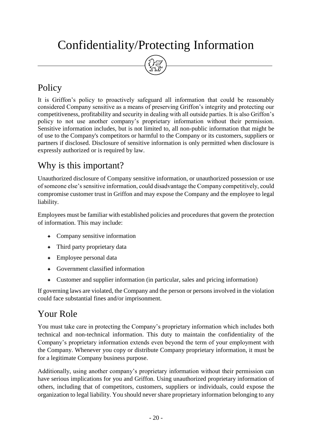## <span id="page-20-0"></span>Confidentiality/Protecting Information



### Policy

It is Griffon's policy to proactively safeguard all information that could be reasonably considered Company sensitive as a means of preserving Griffon's integrity and protecting our competitiveness, profitability and security in dealing with all outside parties. It is also Griffon's policy to not use another company's proprietary information without their permission. Sensitive information includes, but is not limited to, all non-public information that might be of use to the Company's competitors or harmful to the Company or its customers, suppliers or partners if disclosed. Disclosure of sensitive information is only permitted when disclosure is expressly authorized or is required by law.

#### Why is this important?

Unauthorized disclosure of Company sensitive information, or unauthorized possession or use of someone else's sensitive information, could disadvantage the Company competitively, could compromise customer trust in Griffon and may expose the Company and the employee to legal liability.

Employees must be familiar with established policies and procedures that govern the protection of information. This may include:

- Company sensitive information
- Third party proprietary data
- Employee personal data
- Government classified information
- Customer and supplier information (in particular, sales and pricing information)

If governing laws are violated, the Company and the person or persons involved in the violation could face substantial fines and/or imprisonment.

#### Your Role

You must take care in protecting the Company's proprietary information which includes both technical and non-technical information. This duty to maintain the confidentiality of the Company's proprietary information extends even beyond the term of your employment with the Company. Whenever you copy or distribute Company proprietary information, it must be for a legitimate Company business purpose.

Additionally, using another company's proprietary information without their permission can have serious implications for you and Griffon. Using unauthorized proprietary information of others, including that of competitors, customers, suppliers or individuals, could expose the organization to legal liability. You should never share proprietary information belonging to any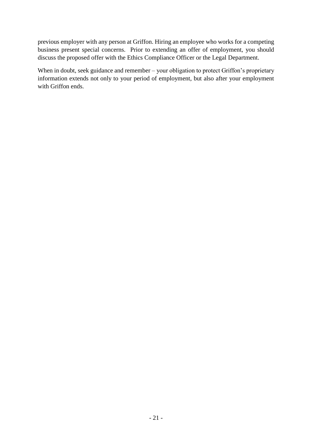previous employer with any person at Griffon. Hiring an employee who works for a competing business present special concerns. Prior to extending an offer of employment, you should discuss the proposed offer with the Ethics Compliance Officer or the Legal Department.

When in doubt, seek guidance and remember – your obligation to protect Griffon's proprietary information extends not only to your period of employment, but also after your employment with Griffon ends.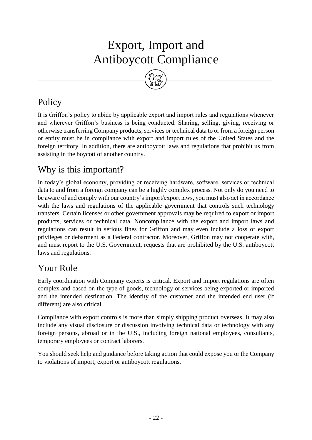# <span id="page-22-0"></span>Export, Import and Antiboycott Compliance

#### Policy

It is Griffon's policy to abide by applicable export and import rules and regulations whenever and wherever Griffon's business is being conducted. Sharing, selling, giving, receiving or otherwise transferring Company products, services or technical data to or from a foreign person or entity must be in compliance with export and import rules of the United States and the foreign territory. In addition, there are antiboycott laws and regulations that prohibit us from assisting in the boycott of another country.

#### Why is this important?

In today's global economy, providing or receiving hardware, software, services or technical data to and from a foreign company can be a highly complex process. Not only do you need to be aware of and comply with our country's import/export laws, you must also act in accordance with the laws and regulations of the applicable government that controls such technology transfers. Certain licenses or other government approvals may be required to export or import products, services or technical data. Noncompliance with the export and import laws and regulations can result in serious fines for Griffon and may even include a loss of export privileges or debarment as a Federal contractor. Moreover, Griffon may not cooperate with, and must report to the U.S. Government, requests that are prohibited by the U.S. antiboycott laws and regulations.

#### Your Role

Early coordination with Company experts is critical. Export and import regulations are often complex and based on the type of goods, technology or services being exported or imported and the intended destination. The identity of the customer and the intended end user (if different) are also critical.

Compliance with export controls is more than simply shipping product overseas. It may also include any visual disclosure or discussion involving technical data or technology with any foreign persons, abroad or in the U.S., including foreign national employees, consultants, temporary employees or contract laborers.

You should seek help and guidance before taking action that could expose you or the Company to violations of import, export or antiboycott regulations.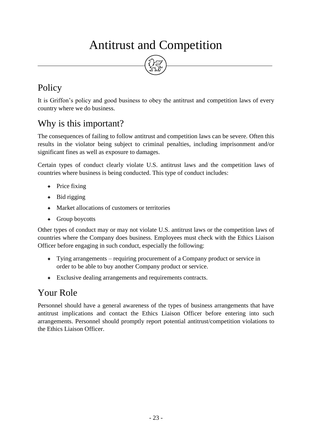# Antitrust and Competition



## <span id="page-23-0"></span>Policy

It is Griffon's policy and good business to obey the antitrust and competition laws of every country where we do business.

#### Why is this important?

The consequences of failing to follow antitrust and competition laws can be severe. Often this results in the violator being subject to criminal penalties, including imprisonment and/or significant fines as well as exposure to damages.

Certain types of conduct clearly violate U.S. antitrust laws and the competition laws of countries where business is being conducted. This type of conduct includes:

- $\leftarrow$  Price fixing
- $\leftarrow$  Bid rigging
- Market allocations of customers or territories
- Group boycotts

Other types of conduct may or may not violate U.S. antitrust laws or the competition laws of countries where the Company does business. Employees must check with the Ethics Liaison Officer before engaging in such conduct, especially the following:

- Tying arrangements requiring procurement of a Company product or service in order to be able to buy another Company product or service.
- $\leftarrow$  Exclusive dealing arrangements and requirements contracts.

#### Your Role

Personnel should have a general awareness of the types of business arrangements that have antitrust implications and contact the Ethics Liaison Officer before entering into such arrangements. Personnel should promptly report potential antitrust/competition violations to the Ethics Liaison Officer.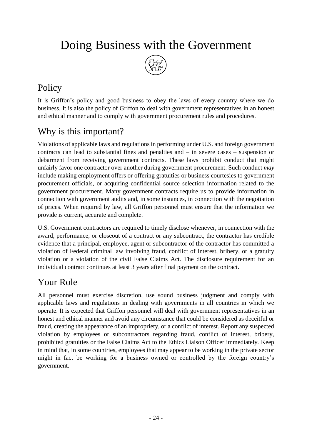## <span id="page-24-0"></span>Doing Business with the Government



#### Policy

It is Griffon's policy and good business to obey the laws of every country where we do business. It is also the policy of Griffon to deal with government representatives in an honest and ethical manner and to comply with government procurement rules and procedures.

#### Why is this important?

Violations of applicable laws and regulations in performing under U.S. and foreign government contracts can lead to substantial fines and penalties and – in severe cases – suspension or debarment from receiving government contracts. These laws prohibit conduct that might unfairly favor one contractor over another during government procurement. Such conduct *may* include making employment offers or offering gratuities or business courtesies to government procurement officials, or acquiring confidential source selection information related to the government procurement. Many government contracts require us to provide information in connection with government audits and, in some instances, in connection with the negotiation of prices. When required by law, all Griffon personnel must ensure that the information we provide is current, accurate and complete.

U.S. Government contractors are required to timely disclose whenever, in connection with the award, performance, or closeout of a contract or any subcontract, the contractor has credible evidence that a principal, employee, agent or subcontractor of the contractor has committed a violation of Federal criminal law involving fraud, conflict of interest, bribery, or a gratuity violation or a violation of the civil False Claims Act. The disclosure requirement for an individual contract continues at least 3 years after final payment on the contract.

#### Your Role

All personnel must exercise discretion, use sound business judgment and comply with applicable laws and regulations in dealing with governments in all countries in which we operate. It is expected that Griffon personnel will deal with government representatives in an honest and ethical manner and avoid any circumstance that could be considered as deceitful or fraud, creating the appearance of an impropriety, or a conflict of interest. Report any suspected violation by employees or subcontractors regarding fraud, conflict of interest, bribery, prohibited gratuities or the False Claims Act to the Ethics Liaison Officer immediately. Keep in mind that, in some countries, employees that may appear to be working in the private sector might in fact be working for a business owned or controlled by the foreign country's government.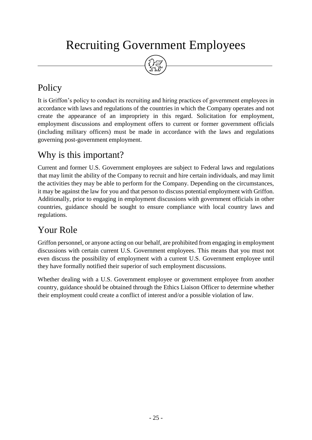## <span id="page-25-0"></span>Recruiting Government Employees



## Policy

It is Griffon's policy to conduct its recruiting and hiring practices of government employees in accordance with laws and regulations of the countries in which the Company operates and not create the appearance of an impropriety in this regard. Solicitation for employment, employment discussions and employment offers to current or former government officials (including military officers) must be made in accordance with the laws and regulations governing post-government employment.

#### Why is this important?

Current and former U.S. Government employees are subject to Federal laws and regulations that may limit the ability of the Company to recruit and hire certain individuals, and may limit the activities they may be able to perform for the Company. Depending on the circumstances, it may be against the law for you and that person to discuss potential employment with Griffon. Additionally, prior to engaging in employment discussions with government officials in other countries, guidance should be sought to ensure compliance with local country laws and regulations.

#### Your Role

Griffon personnel, or anyone acting on our behalf, are prohibited from engaging in employment discussions with certain current U.S. Government employees. This means that you must not even discuss the possibility of employment with a current U.S. Government employee until they have formally notified their superior of such employment discussions.

Whether dealing with a U.S. Government employee or government employee from another country, guidance should be obtained through the Ethics Liaison Officer to determine whether their employment could create a conflict of interest and/or a possible violation of law.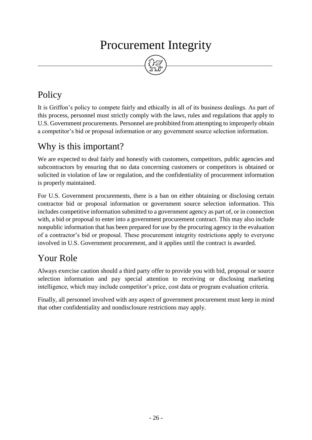# Procurement Integrity



### <span id="page-26-0"></span>**Policy**

It is Griffon's policy to compete fairly and ethically in all of its business dealings. As part of this process, personnel must strictly comply with the laws, rules and regulations that apply to U.S. Government procurements. Personnel are prohibited from attempting to improperly obtain a competitor's bid or proposal information or any government source selection information.

#### Why is this important?

We are expected to deal fairly and honestly with customers, competitors, public agencies and subcontractors by ensuring that no data concerning customers or competitors is obtained or solicited in violation of law or regulation, and the confidentiality of procurement information is properly maintained.

For U.S. Government procurements, there is a ban on either obtaining or disclosing certain contractor bid or proposal information or government source selection information. This includes competitive information submitted to a government agency as part of, or in connection with, a bid or proposal to enter into a government procurement contract. This may also include nonpublic information that has been prepared for use by the procuring agency in the evaluation of a contractor's bid or proposal. These procurement integrity restrictions apply to everyone involved in U.S. Government procurement, and it applies until the contract is awarded.

#### Your Role

Always exercise caution should a third party offer to provide you with bid, proposal or source selection information and pay special attention to receiving or disclosing marketing intelligence, which may include competitor's price, cost data or program evaluation criteria.

Finally, all personnel involved with any aspect of government procurement must keep in mind that other confidentiality and nondisclosure restrictions may apply.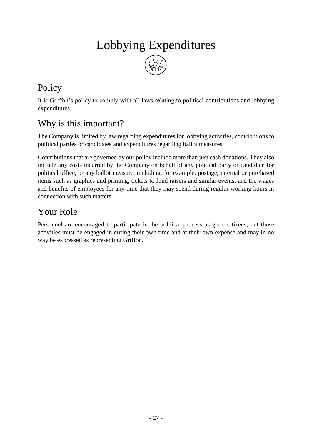# Lobbying Expenditures

#### <span id="page-27-0"></span>Policy

It is Griffon's policy to comply with all laws relating to political contributions and lobbying expenditures.

#### Why is this important?

The Company is limited by law regarding expenditures for lobbying activities, contributions to political parties or candidates and expenditures regarding ballot measures.

Contributions that are governed by our policy include more than just cash donations. They also include any costs incurred by the Company on behalf of any political party or candidate for political office, or any ballot measure, including, for example, postage, internal or purchased items such as graphics and printing, tickets to fund raisers and similar events, and the wages and benefits of employees for any time that they may spend during regular working hours in connection with such matters.

#### Your Role

Personnel are encouraged to participate in the political process as good citizens, but those activities must be engaged in during their own time and at their own expense and may in no way be expressed as representing Griffon.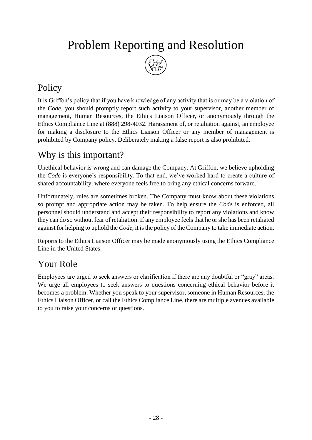## <span id="page-28-0"></span>Problem Reporting and Resolution



#### Policy

It is Griffon's policy that if you have knowledge of any activity that is or may be a violation of the *Code*, you should promptly report such activity to your supervisor, another member of management, Human Resources, the Ethics Liaison Officer, or anonymously through the Ethics Compliance Line at (888) 298-4032. Harassment of, or retaliation against, an employee for making a disclosure to the Ethics Liaison Officer or any member of management is prohibited by Company policy. Deliberately making a false report is also prohibited.

#### Why is this important?

Unethical behavior is wrong and can damage the Company. At Griffon, we believe upholding the *Code* is everyone's responsibility. To that end, we've worked hard to create a culture of shared accountability, where everyone feels free to bring any ethical concerns forward.

Unfortunately, rules are sometimes broken. The Company must know about these violations so prompt and appropriate action may be taken. To help ensure the *Code* is enforced, all personnel should understand and accept their responsibility to report any violations and know they can do so without fear of retaliation. If any employee feels that he or she has been retaliated against for helping to uphold the *Code*, it is the policy of the Company to take immediate action.

Reports to the Ethics Liaison Officer may be made anonymously using the Ethics Compliance Line in the United States.

#### Your Role

Employees are urged to seek answers or clarification if there are any doubtful or "gray" areas. We urge all employees to seek answers to questions concerning ethical behavior before it becomes a problem. Whether you speak to your supervisor, someone in Human Resources, the Ethics Liaison Officer, or call the Ethics Compliance Line, there are multiple avenues available to you to raise your concerns or questions.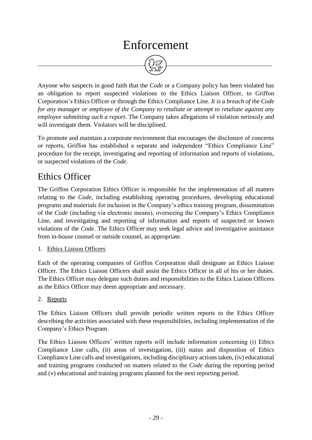## Enforcement



<span id="page-29-0"></span>Anyone who suspects in good faith that the *Code* or a Company policy has been violated has an obligation to report suspected violations to the Ethics Liaison Officer, to Griffon Corporation's Ethics Officer or through the Ethics Compliance Line. *It is a breach of the Code for any manager or employee of the Company to retaliate or attempt to retaliate against any employee submitting such a report*. The Company takes allegations of violation seriously and will investigate them. Violators will be disciplined.

To promote and maintain a corporate environment that encourages the disclosure of concerns or reports, Griffon has established a separate and independent "Ethics Compliance Line" procedure for the receipt, investigating and reporting of information and reports of violations, or suspected violations of the *Code*.

#### Ethics Officer

The Griffon Corporation Ethics Officer is responsible for the implementation of all matters relating to the *Code*, including establishing operating procedures, developing educational programs and materials for inclusion in the Company's ethics training program, dissemination of the *Code* (including via electronic means), overseeing the Company's Ethics Compliance Line, and investigating and reporting of information and reports of suspected or known violations of the *Code*. The Ethics Officer may seek legal advice and investigative assistance from in-house counsel or outside counsel, as appropriate.

#### 1. Ethics Liaison Officers

Each of the operating companies of Griffon Corporation shall designate an Ethics Liaison Officer. The Ethics Liaison Officers shall assist the Ethics Officer in all of his or her duties. The Ethics Officer may delegate such duties and responsibilities to the Ethics Liaison Officers as the Ethics Officer may deem appropriate and necessary.

#### 2. Reports

The Ethics Liaison Officers shall provide periodic written reports to the Ethics Officer describing the activities associated with these responsibilities, including implementation of the Company's Ethics Program.

The Ethics Liaison Officers' written reports will include information concerning (i) Ethics Compliance Line calls, (ii) areas of investigation, (iii) status and disposition of Ethics Compliance Line calls and investigations, including disciplinary actions taken, (iv) educational and training programs conducted on matters related to the *Code* during the reporting period and (v) educational and training programs planned for the next reporting period.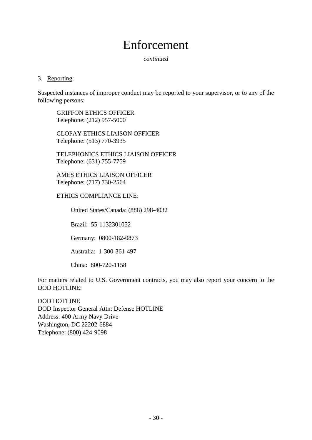## Enforcement

*continued*

#### <span id="page-30-0"></span>3. Reporting:

Suspected instances of improper conduct may be reported to your supervisor, or to any of the following persons:

GRIFFON ETHICS OFFICER Telephone: (212) 957-5000

CLOPAY ETHICS LIAISON OFFICER Telephone: (513) 770-3935

TELEPHONICS ETHICS LIAISON OFFICER Telephone: (631) 755-7759

AMES ETHICS LIAISON OFFICER Telephone: (717) 730-2564

#### ETHICS COMPLIANCE LINE:

United States/Canada: (888) 298-4032

Brazil: 55-1132301052

Germany: 0800-182-0873

Australia: 1-300-361-497

China: 800-720-1158

For matters related to U.S. Government contracts, you may also report your concern to the DOD HOTLINE:

DOD HOTLINE DOD Inspector General Attn: Defense HOTLINE Address: 400 Army Navy Drive Washington, DC 22202-6884 Telephone: (800) 424-9098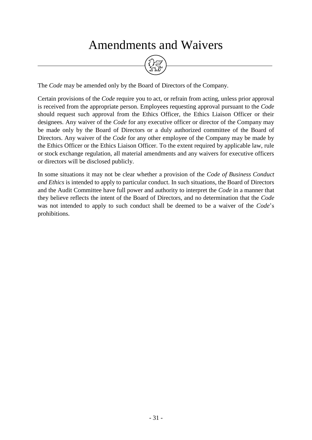## Amendments and Waivers



<span id="page-31-0"></span>The *Code* may be amended only by the Board of Directors of the Company.

Certain provisions of the *Code* require you to act, or refrain from acting, unless prior approval is received from the appropriate person. Employees requesting approval pursuant to the *Code* should request such approval from the Ethics Officer, the Ethics Liaison Officer or their designees. Any waiver of the *Code* for any executive officer or director of the Company may be made only by the Board of Directors or a duly authorized committee of the Board of Directors. Any waiver of the *Code* for any other employee of the Company may be made by the Ethics Officer or the Ethics Liaison Officer. To the extent required by applicable law, rule or stock exchange regulation, all material amendments and any waivers for executive officers or directors will be disclosed publicly.

In some situations it may not be clear whether a provision of the *Code of Business Conduct and Ethics* is intended to apply to particular conduct. In such situations, the Board of Directors and the Audit Committee have full power and authority to interpret the *Code* in a manner that they believe reflects the intent of the Board of Directors, and no determination that the *Code* was not intended to apply to such conduct shall be deemed to be a waiver of the *Code*'s prohibitions.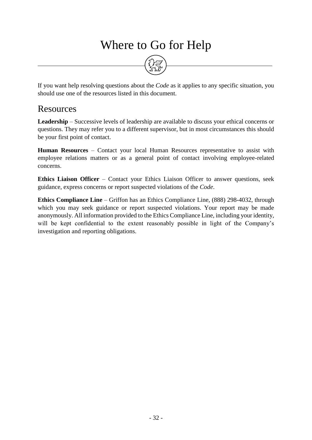# Where to Go for Help



<span id="page-32-0"></span>If you want help resolving questions about the *Code* as it applies to any specific situation, you should use one of the resources listed in this document.

#### Resources

**Leadership** – Successive levels of leadership are available to discuss your ethical concerns or questions. They may refer you to a different supervisor, but in most circumstances this should be your first point of contact.

**Human Resources** – Contact your local Human Resources representative to assist with employee relations matters or as a general point of contact involving employee-related concerns.

**Ethics Liaison Officer** – Contact your Ethics Liaison Officer to answer questions, seek guidance, express concerns or report suspected violations of the *Code*.

**Ethics Compliance Line** – Griffon has an Ethics Compliance Line, (888) 298-4032, through which you may seek guidance or report suspected violations. Your report may be made anonymously. All information provided to the Ethics Compliance Line, including your identity, will be kept confidential to the extent reasonably possible in light of the Company's investigation and reporting obligations.